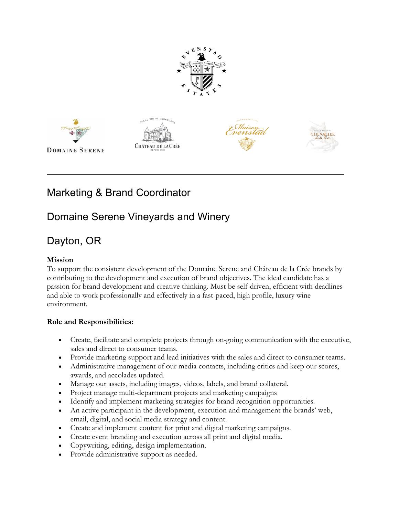









# Marketing & Brand Coordinator

### Domaine Serene Vineyards and Winery

## Dayton, OR

### **Mission**

To support the consistent development of the Domaine Serene and Château de la Crée brands by contributing to the development and execution of brand objectives. The ideal candidate has a passion for brand development and creative thinking. Must be self-driven, efficient with deadlines and able to work professionally and effectively in a fast-paced, high profile, luxury wine environment.

#### **Role and Responsibilities:**

- Create, facilitate and complete projects through on-going communication with the executive, sales and direct to consumer teams.
- Provide marketing support and lead initiatives with the sales and direct to consumer teams.
- Administrative management of our media contacts, including critics and keep our scores, awards, and accolades updated.
- Manage our assets, including images, videos, labels, and brand collateral.
- Project manage multi-department projects and marketing campaigns
- Identify and implement marketing strategies for brand recognition opportunities.
- An active participant in the development, execution and management the brands' web, email, digital, and social media strategy and content.
- Create and implement content for print and digital marketing campaigns.
- Create event branding and execution across all print and digital media.
- Copywriting, editing, design implementation.
- Provide administrative support as needed.